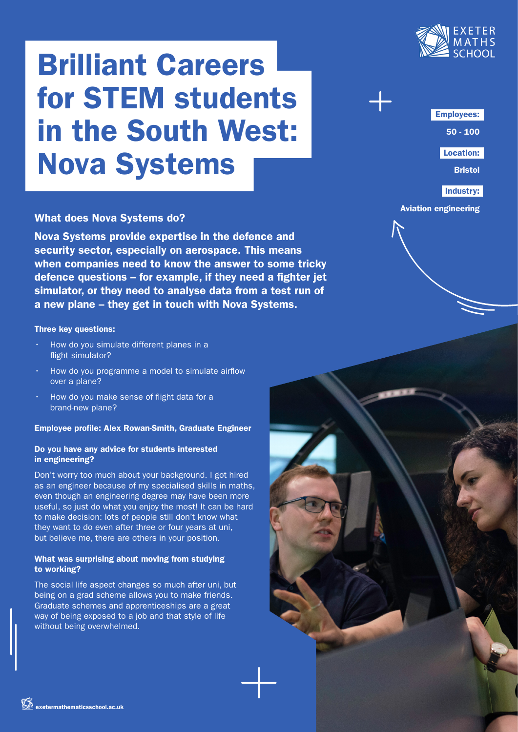

# Brilliant Careers for STEM students in the South West: Nova Systems

# What does Nova Systems do?

Nova Systems provide expertise in the defence and security sector, especially on aerospace. This means when companies need to know the answer to some tricky defence questions – for example, if they need a fighter jet simulator, or they need to analyse data from a test run of a new plane – they get in touch with Nova Systems.

# Three key questions:

- How do you simulate different planes in a flight simulator?
- How do you programme a model to simulate airflow over a plane?
- How do you make sense of flight data for a brand-new plane?

## Employee profile: Alex Rowan-Smith, Graduate Engineer

#### Do you have any advice for students interested in engineering?

Don't worry too much about your background. I got hired as an engineer because of my specialised skills in maths, even though an engineering degree may have been more useful, so just do what you enjoy the most! It can be hard to make decision: lots of people still don't know what they want to do even after three or four years at uni, but believe me, there are others in your position.

# What was surprising about moving from studying to working?

The social life aspect changes so much after uni, but being on a grad scheme allows you to make friends. Graduate schemes and apprenticeships are a great way of being exposed to a job and that style of life without being overwhelmed.

Employees:

50 - 100

Location:

Bristol

Industry:

Aviation engineering